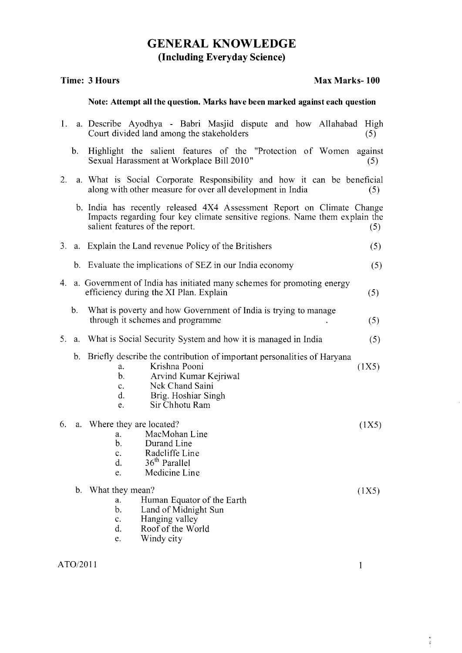## GENERAL KNOWLEDGE (Including Everyday Science)

## Time: 3 Hours Max Marks- 100

## Note: Attempt all the question. Marks have been marked against each question

| 1. |             | a. Describe Ayodhya - Babri Masjid dispute and how Allahabad<br>Court divided land among the stakeholders                                                                                                                  | High<br>(5)    |
|----|-------------|----------------------------------------------------------------------------------------------------------------------------------------------------------------------------------------------------------------------------|----------------|
|    | $b_{\cdot}$ | Highlight the salient features of the "Protection of Women"<br>Sexual Harassment at Workplace Bill 2010"                                                                                                                   | against<br>(5) |
| 2. |             | a. What is Social Corporate Responsibility and how it can be beneficial<br>along with other measure for over all development in India                                                                                      | (5)            |
|    |             | b. India has recently released 4X4 Assessment Report on Climate Change<br>Impacts regarding four key climate sensitive regions. Name them explain the<br>salient features of the report.                                   | (5)            |
| 3. |             | a. Explain the Land revenue Policy of the Britishers                                                                                                                                                                       | (5)            |
|    |             | b. Evaluate the implications of SEZ in our India economy                                                                                                                                                                   | (5)            |
|    |             | 4. a. Government of India has initiated many schemes for promoting energy<br>efficiency during the XI Plan. Explain                                                                                                        | (5)            |
|    | b.          | What is poverty and how Government of India is trying to manage<br>through it schemes and programme                                                                                                                        | (5)            |
|    |             | 5. a. What is Social Security System and how it is managed in India                                                                                                                                                        | (5)            |
|    |             | b. Briefly describe the contribution of important personalities of Haryana<br>Krishna Pooni<br>a.<br>b.<br>Arvind Kumar Kejriwal<br>Nek Chand Saini<br>$\mathbf{c}$ .<br>d.<br>Brig. Hoshiar Singh<br>Sir Chhotu Ram<br>e. | (1X5)          |
| 6. |             | a. Where they are located?<br>MacMohan Line<br>a.<br>b.<br>Durand Line<br>Radcliffe Line<br>c.<br>$36th$ Parallel<br>d<br>Medicine Line<br>e.                                                                              | (1X5)          |
|    | $b_{1}$     | What they mean?<br>Human Equator of the Earth<br>a.<br>b.<br>Land of Midnight Sun<br>Hanging valley<br>C <sub>1</sub><br>Roof of the World<br>d.<br>Windy city<br>e.                                                       | (1X5)          |

 $\frac{\pi}{4}$